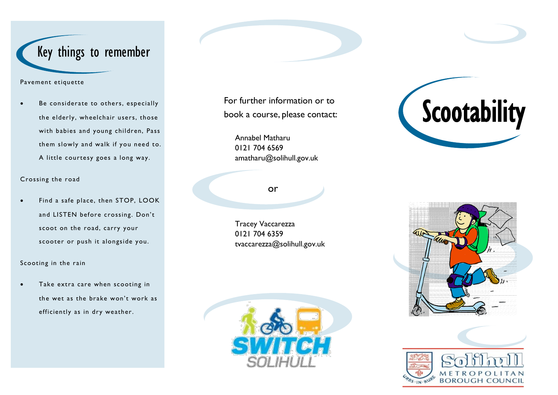# Key things to remember

#### Pavement etiquette

 Be considerate to others, especially the elderly, wheelchair users, those with babies and young children, Pass them slowly and walk if you need to. A little courtesy goes a long way.

#### Crossing the road

 Find a safe place, then STOP, LOOK and LISTEN before crossing. Don't scoot on the road, carry your scooter or push it alongside you.

#### Scooting in the rain

 Take extra care when scooting in the wet as the brake won't work as efficiently as in dry weather.

For further information or to book a course, please contact:

Annabel Matharu 0121 704 6569 amatharu@solihull.gov.uk

### or

Tracey Vaccarezza 0121 704 6359 tvaccarezza@solihull.gov.uk